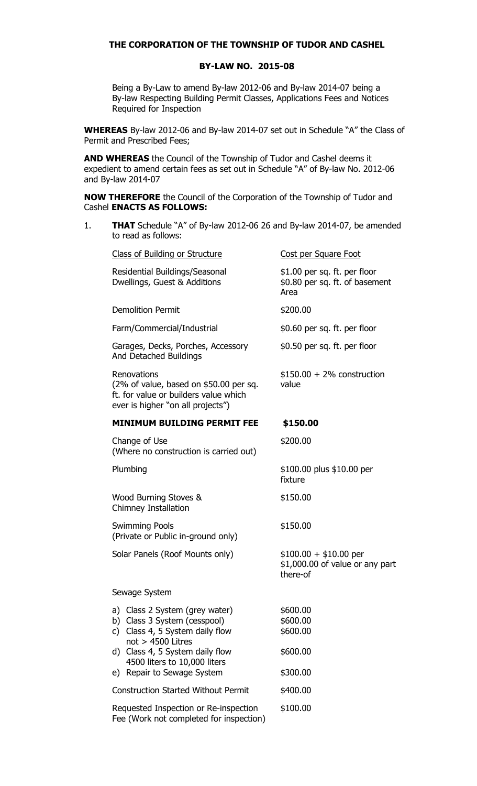## **THE CORPORATION OF THE TOWNSHIP OF TUDOR AND CASHEL**

## **BY-LAW NO. 2015-08**

Being a By-Law to amend By-law 2012-06 and By-law 2014-07 being a By-law Respecting Building Permit Classes, Applications Fees and Notices Required for Inspection

**WHEREAS** By-law 2012-06 and By-law 2014-07 set out in Schedule "A" the Class of Permit and Prescribed Fees;

**AND WHEREAS** the Council of the Township of Tudor and Cashel deems it expedient to amend certain fees as set out in Schedule "A" of By-law No. 2012-06 and By-law 2014-07

**NOW THEREFORE** the Council of the Corporation of the Township of Tudor and Cashel **ENACTS AS FOLLOWS:**

1. **THAT** Schedule "A" of By-law 2012-06 26 and By-law 2014-07, be amended to read as follows:

| Class of Building or Structure                                                                                                                                                                                               | Cost per Square Foot                                                    |
|------------------------------------------------------------------------------------------------------------------------------------------------------------------------------------------------------------------------------|-------------------------------------------------------------------------|
| Residential Buildings/Seasonal<br>Dwellings, Guest & Additions                                                                                                                                                               | $$1.00$ per sq. ft. per floor<br>\$0.80 per sq. ft. of basement<br>Area |
| <b>Demolition Permit</b>                                                                                                                                                                                                     | \$200.00                                                                |
| Farm/Commercial/Industrial                                                                                                                                                                                                   | $$0.60$ per sq. ft. per floor                                           |
| Garages, Decks, Porches, Accessory<br>And Detached Buildings                                                                                                                                                                 | \$0.50 per sq. ft. per floor                                            |
| Renovations<br>(2% of value, based on \$50.00 per sq.<br>ft. for value or builders value which<br>ever is higher "on all projects")                                                                                          | $$150.00 + 2\%$ construction<br>value                                   |
| <b>MINIMUM BUILDING PERMIT FEE</b>                                                                                                                                                                                           | \$150.00                                                                |
| Change of Use<br>(Where no construction is carried out)                                                                                                                                                                      | \$200.00                                                                |
| Plumbing                                                                                                                                                                                                                     | \$100.00 plus \$10.00 per<br>fixture                                    |
| Wood Burning Stoves &<br>Chimney Installation                                                                                                                                                                                | \$150.00                                                                |
| <b>Swimming Pools</b><br>(Private or Public in-ground only)                                                                                                                                                                  | \$150.00                                                                |
| Solar Panels (Roof Mounts only)                                                                                                                                                                                              | $$100.00 + $10.00$ per<br>\$1,000.00 of value or any part<br>there-of   |
| Sewage System                                                                                                                                                                                                                |                                                                         |
| a) Class 2 System (grey water)<br>b) Class 3 System (cesspool)<br>Class 4, 5 System daily flow<br>C)<br>$not > 4500$ Litres<br>d) Class 4, 5 System daily flow<br>4500 liters to 10,000 liters<br>e) Repair to Sewage System | \$600.00<br>\$600.00<br>\$600.00<br>\$600.00<br>\$300.00                |
| <b>Construction Started Without Permit</b>                                                                                                                                                                                   | \$400.00                                                                |
| Requested Inspection or Re-inspection<br>Fee (Work not completed for inspection)                                                                                                                                             | \$100.00                                                                |